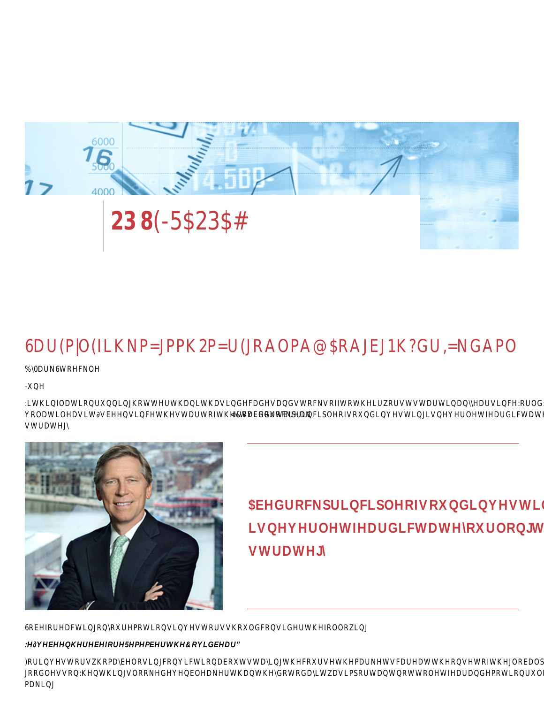